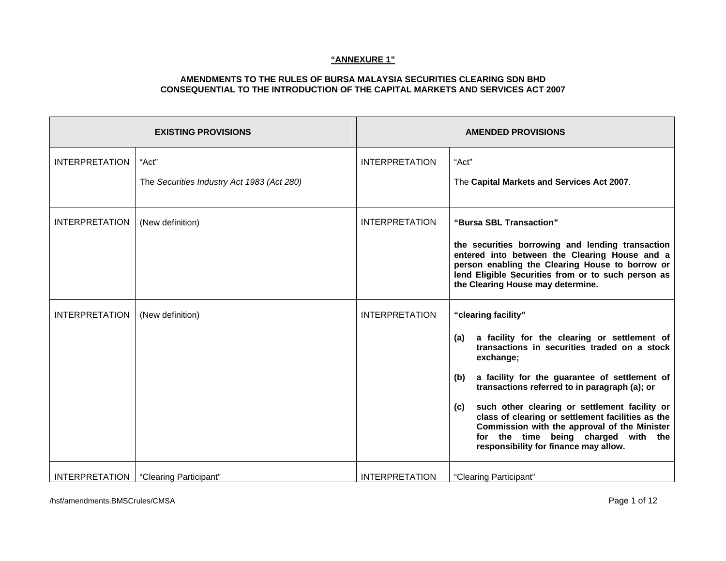|                       | <b>EXISTING PROVISIONS</b>                          | <b>AMENDED PROVISIONS</b> |                                                                                                                                                                                                                                                                                                                                                                                                                                                                                               |  |
|-----------------------|-----------------------------------------------------|---------------------------|-----------------------------------------------------------------------------------------------------------------------------------------------------------------------------------------------------------------------------------------------------------------------------------------------------------------------------------------------------------------------------------------------------------------------------------------------------------------------------------------------|--|
| <b>INTERPRETATION</b> | "Act"<br>The Securities Industry Act 1983 (Act 280) | <b>INTERPRETATION</b>     | "Act"<br>The Capital Markets and Services Act 2007.                                                                                                                                                                                                                                                                                                                                                                                                                                           |  |
| <b>INTERPRETATION</b> | (New definition)                                    | <b>INTERPRETATION</b>     | "Bursa SBL Transaction"<br>the securities borrowing and lending transaction<br>entered into between the Clearing House and a<br>person enabling the Clearing House to borrow or<br>lend Eligible Securities from or to such person as<br>the Clearing House may determine.                                                                                                                                                                                                                    |  |
| <b>INTERPRETATION</b> | (New definition)                                    | <b>INTERPRETATION</b>     | "clearing facility"<br>a facility for the clearing or settlement of<br>(a)<br>transactions in securities traded on a stock<br>exchange;<br>a facility for the guarantee of settlement of<br>(b)<br>transactions referred to in paragraph (a); or<br>such other clearing or settlement facility or<br>(c)<br>class of clearing or settlement facilities as the<br>Commission with the approval of the Minister<br>for the time being charged with the<br>responsibility for finance may allow. |  |
| <b>INTERPRETATION</b> | "Clearing Participant"                              | <b>INTERPRETATION</b>     | "Clearing Participant"                                                                                                                                                                                                                                                                                                                                                                                                                                                                        |  |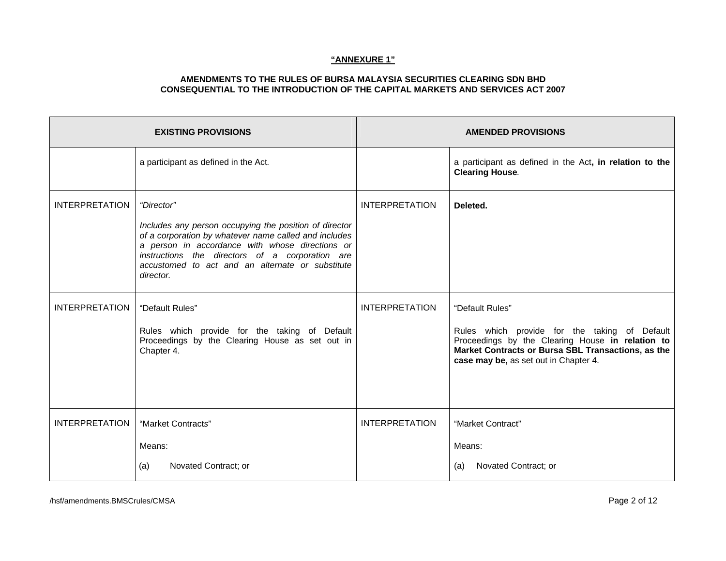|                       | <b>EXISTING PROVISIONS</b>                                                                                                                                                                                                                                                                           | <b>AMENDED PROVISIONS</b> |                                                                                                                                                                                                                     |  |
|-----------------------|------------------------------------------------------------------------------------------------------------------------------------------------------------------------------------------------------------------------------------------------------------------------------------------------------|---------------------------|---------------------------------------------------------------------------------------------------------------------------------------------------------------------------------------------------------------------|--|
|                       | a participant as defined in the Act.                                                                                                                                                                                                                                                                 |                           | a participant as defined in the Act, in relation to the<br><b>Clearing House.</b>                                                                                                                                   |  |
| <b>INTERPRETATION</b> | "Director"<br>Includes any person occupying the position of director<br>of a corporation by whatever name called and includes<br>a person in accordance with whose directions or<br>instructions the directors of a corporation are<br>accustomed to act and an alternate or substitute<br>director. | <b>INTERPRETATION</b>     | Deleted.                                                                                                                                                                                                            |  |
| <b>INTERPRETATION</b> | "Default Rules"<br>Rules which provide for the taking of Default<br>Proceedings by the Clearing House as set out in<br>Chapter 4.                                                                                                                                                                    | <b>INTERPRETATION</b>     | "Default Rules"<br>Rules which provide for the taking of Default<br>Proceedings by the Clearing House in relation to<br>Market Contracts or Bursa SBL Transactions, as the<br>case may be, as set out in Chapter 4. |  |
| <b>INTERPRETATION</b> | "Market Contracts"<br>Means:<br>Novated Contract; or<br>(a)                                                                                                                                                                                                                                          | <b>INTERPRETATION</b>     | "Market Contract"<br>Means:<br>Novated Contract; or<br>(a)                                                                                                                                                          |  |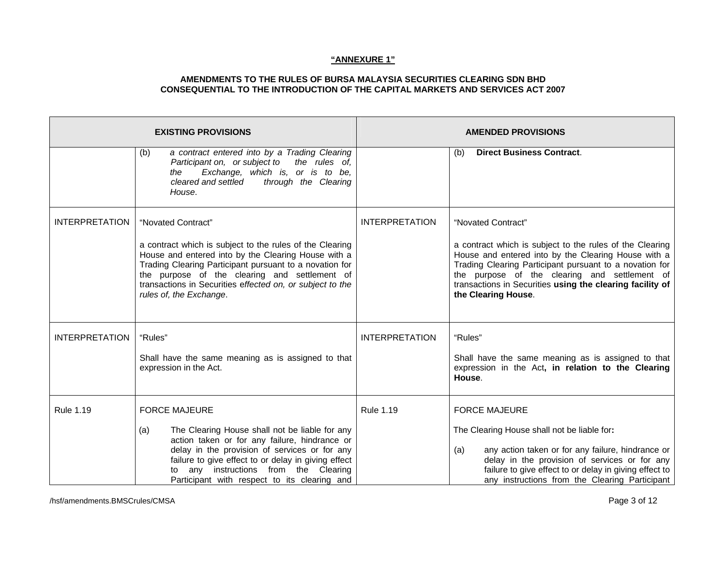|                       | <b>EXISTING PROVISIONS</b>                                                                                                                                                                                                                                                                                                                |                       | <b>AMENDED PROVISIONS</b>                                                                                                                                                                                                                                                                                                             |
|-----------------------|-------------------------------------------------------------------------------------------------------------------------------------------------------------------------------------------------------------------------------------------------------------------------------------------------------------------------------------------|-----------------------|---------------------------------------------------------------------------------------------------------------------------------------------------------------------------------------------------------------------------------------------------------------------------------------------------------------------------------------|
|                       | a contract entered into by a Trading Clearing<br>(b)<br>Participant on, or subject to<br>the rules of,<br>Exchange, which is, or is to be,<br>the<br>cleared and settled<br>through the Clearing<br>House.                                                                                                                                |                       | <b>Direct Business Contract.</b><br>(b)                                                                                                                                                                                                                                                                                               |
| <b>INTERPRETATION</b> | "Novated Contract"<br>a contract which is subject to the rules of the Clearing<br>House and entered into by the Clearing House with a<br>Trading Clearing Participant pursuant to a novation for<br>the purpose of the clearing and settlement of<br>transactions in Securities effected on, or subject to the<br>rules of, the Exchange. | <b>INTERPRETATION</b> | "Novated Contract"<br>a contract which is subject to the rules of the Clearing<br>House and entered into by the Clearing House with a<br>Trading Clearing Participant pursuant to a novation for<br>the purpose of the clearing and settlement of<br>transactions in Securities using the clearing facility of<br>the Clearing House. |
| <b>INTERPRETATION</b> | "Rules"<br>Shall have the same meaning as is assigned to that<br>expression in the Act.                                                                                                                                                                                                                                                   | <b>INTERPRETATION</b> | "Rules"<br>Shall have the same meaning as is assigned to that<br>expression in the Act, in relation to the Clearing<br>House.                                                                                                                                                                                                         |
| <b>Rule 1.19</b>      | <b>FORCE MAJEURE</b><br>The Clearing House shall not be liable for any<br>(a)<br>action taken or for any failure, hindrance or<br>delay in the provision of services or for any<br>failure to give effect to or delay in giving effect<br>any instructions from the Clearing<br>to<br>Participant with respect to its clearing and        | <b>Rule 1.19</b>      | <b>FORCE MAJEURE</b><br>The Clearing House shall not be liable for:<br>any action taken or for any failure, hindrance or<br>(a)<br>delay in the provision of services or for any<br>failure to give effect to or delay in giving effect to<br>any instructions from the Clearing Participant                                          |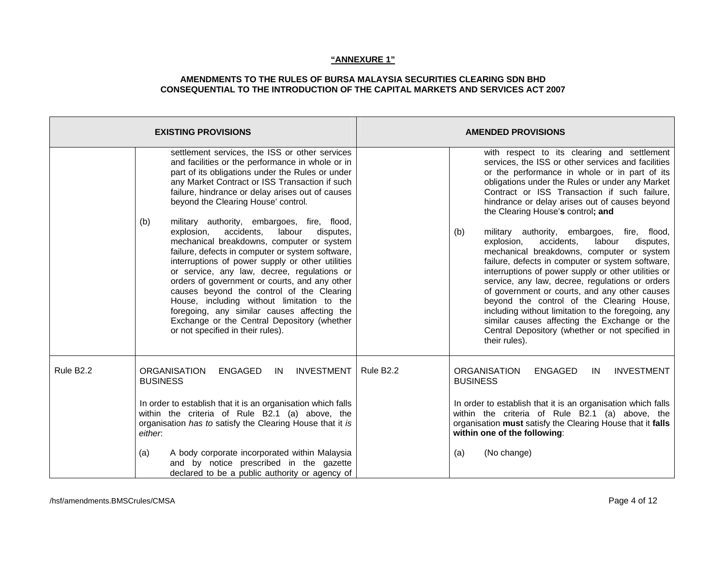| <b>EXISTING PROVISIONS</b> |                                                                                                                                                                                                                                                                                                                                                                                                                                                                                                                                                                                                                                                                                                                                                                                                                                                                                                 | <b>AMENDED PROVISIONS</b>                                                                                                                                                                                                                                                                                                                                                                                                                                                                                                                                                                                                                                                                                                                                                                                                                                                                                                                |
|----------------------------|-------------------------------------------------------------------------------------------------------------------------------------------------------------------------------------------------------------------------------------------------------------------------------------------------------------------------------------------------------------------------------------------------------------------------------------------------------------------------------------------------------------------------------------------------------------------------------------------------------------------------------------------------------------------------------------------------------------------------------------------------------------------------------------------------------------------------------------------------------------------------------------------------|------------------------------------------------------------------------------------------------------------------------------------------------------------------------------------------------------------------------------------------------------------------------------------------------------------------------------------------------------------------------------------------------------------------------------------------------------------------------------------------------------------------------------------------------------------------------------------------------------------------------------------------------------------------------------------------------------------------------------------------------------------------------------------------------------------------------------------------------------------------------------------------------------------------------------------------|
|                            | settlement services, the ISS or other services<br>and facilities or the performance in whole or in<br>part of its obligations under the Rules or under<br>any Market Contract or ISS Transaction if such<br>failure, hindrance or delay arises out of causes<br>beyond the Clearing House' control.<br>military authority, embargoes, fire, flood,<br>(b)<br>accidents,<br>labour<br>explosion,<br>disputes,<br>mechanical breakdowns, computer or system<br>failure, defects in computer or system software,<br>interruptions of power supply or other utilities<br>or service, any law, decree, regulations or<br>orders of government or courts, and any other<br>causes beyond the control of the Clearing<br>House, including without limitation to the<br>foregoing, any similar causes affecting the<br>Exchange or the Central Depository (whether<br>or not specified in their rules). | with respect to its clearing and settlement<br>services, the ISS or other services and facilities<br>or the performance in whole or in part of its<br>obligations under the Rules or under any Market<br>Contract or ISS Transaction if such failure,<br>hindrance or delay arises out of causes beyond<br>the Clearing House's control; and<br>(b)<br>military authority, embargoes, fire, flood,<br>explosion,<br>accidents,<br>labour<br>disputes,<br>mechanical breakdowns, computer or system<br>failure, defects in computer or system software,<br>interruptions of power supply or other utilities or<br>service, any law, decree, regulations or orders<br>of government or courts, and any other causes<br>beyond the control of the Clearing House,<br>including without limitation to the foregoing, any<br>similar causes affecting the Exchange or the<br>Central Depository (whether or not specified in<br>their rules). |
| Rule B2.2                  | <b>INVESTMENT</b><br><b>ORGANISATION</b><br><b>ENGAGED</b><br>IN<br><b>BUSINESS</b><br>In order to establish that it is an organisation which falls<br>within the criteria of Rule B2.1 (a) above, the<br>organisation has to satisfy the Clearing House that it is<br>either.<br>A body corporate incorporated within Malaysia<br>(a)<br>and by notice prescribed in the gazette<br>declared to be a public authority or agency of                                                                                                                                                                                                                                                                                                                                                                                                                                                             | Rule B <sub>2.2</sub><br><b>ORGANISATION</b><br><b>INVESTMENT</b><br><b>ENGAGED</b><br>IN<br><b>BUSINESS</b><br>In order to establish that it is an organisation which falls<br>within the criteria of Rule B2.1 (a) above, the<br>organisation must satisfy the Clearing House that it falls<br>within one of the following:<br>(No change)<br>(a)                                                                                                                                                                                                                                                                                                                                                                                                                                                                                                                                                                                      |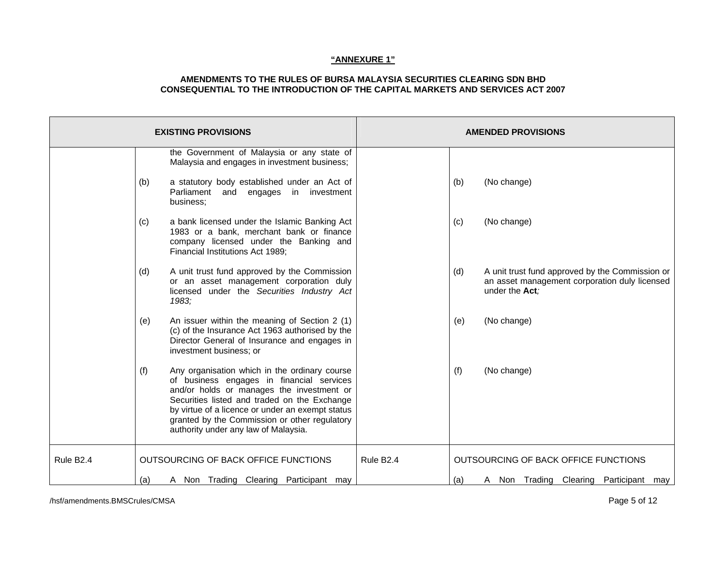### **AMENDMENTS TO THE RULES OF BURSA MALAYSIA SECURITIES CLEARING SDN BHD CONSEQUENTIAL TO THE INTRODUCTION OF THE CAPITAL MARKETS AND SERVICES ACT 2007**

| <b>EXISTING PROVISIONS</b> |     |                                                                                                                                                                                                                                                                                                                                      |                       | <b>AMENDED PROVISIONS</b> |                                                                                                                    |
|----------------------------|-----|--------------------------------------------------------------------------------------------------------------------------------------------------------------------------------------------------------------------------------------------------------------------------------------------------------------------------------------|-----------------------|---------------------------|--------------------------------------------------------------------------------------------------------------------|
|                            |     | the Government of Malaysia or any state of<br>Malaysia and engages in investment business;                                                                                                                                                                                                                                           |                       |                           |                                                                                                                    |
|                            | (b) | a statutory body established under an Act of<br>Parliament and<br>engages<br>in investment<br>business:                                                                                                                                                                                                                              |                       | (b)                       | (No change)                                                                                                        |
|                            | (c) | a bank licensed under the Islamic Banking Act<br>1983 or a bank, merchant bank or finance<br>company licensed under the Banking and<br>Financial Institutions Act 1989;                                                                                                                                                              |                       | (c)                       | (No change)                                                                                                        |
|                            | (d) | A unit trust fund approved by the Commission<br>or an asset management corporation duly<br>licensed under the Securities Industry Act<br>1983;                                                                                                                                                                                       |                       | (d)                       | A unit trust fund approved by the Commission or<br>an asset management corporation duly licensed<br>under the Act; |
|                            | (e) | An issuer within the meaning of Section 2 (1)<br>(c) of the Insurance Act 1963 authorised by the<br>Director General of Insurance and engages in<br>investment business; or                                                                                                                                                          |                       | (e)                       | (No change)                                                                                                        |
|                            | (f) | Any organisation which in the ordinary course<br>of business engages in financial services<br>and/or holds or manages the investment or<br>Securities listed and traded on the Exchange<br>by virtue of a licence or under an exempt status<br>granted by the Commission or other regulatory<br>authority under any law of Malaysia. |                       | (f)                       | (No change)                                                                                                        |
| Rule B <sub>2.4</sub>      |     | OUTSOURCING OF BACK OFFICE FUNCTIONS                                                                                                                                                                                                                                                                                                 | Rule B <sub>2.4</sub> |                           | OUTSOURCING OF BACK OFFICE FUNCTIONS                                                                               |
|                            | (a) | A Non Trading Clearing Participant may                                                                                                                                                                                                                                                                                               |                       | (a)                       | A Non Trading Clearing Participant<br>may                                                                          |

/hsf/amendments.BMSCrules/CMSA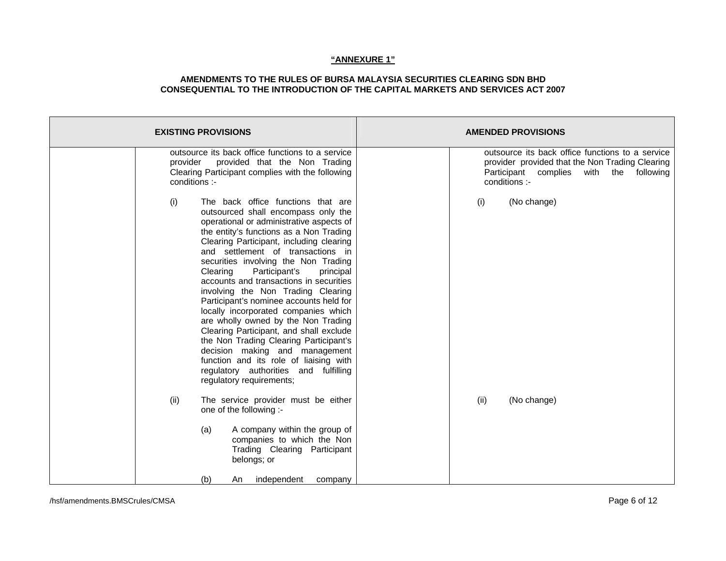| <b>EXISTING PROVISIONS</b>                                                                                                                                                                                                                                                                                                                                                                                                                                                                                                                                                                                                                                                                                                                                                                  | <b>AMENDED PROVISIONS</b>                                                                                                                                          |  |  |
|---------------------------------------------------------------------------------------------------------------------------------------------------------------------------------------------------------------------------------------------------------------------------------------------------------------------------------------------------------------------------------------------------------------------------------------------------------------------------------------------------------------------------------------------------------------------------------------------------------------------------------------------------------------------------------------------------------------------------------------------------------------------------------------------|--------------------------------------------------------------------------------------------------------------------------------------------------------------------|--|--|
| outsource its back office functions to a service<br>provided that the Non Trading<br>provider<br>Clearing Participant complies with the following<br>conditions :-                                                                                                                                                                                                                                                                                                                                                                                                                                                                                                                                                                                                                          | outsource its back office functions to a service<br>provider provided that the Non Trading Clearing<br>Participant complies<br>with the following<br>conditions :- |  |  |
| (i)<br>The back office functions that are<br>outsourced shall encompass only the<br>operational or administrative aspects of<br>the entity's functions as a Non Trading<br>Clearing Participant, including clearing<br>and settlement of transactions in<br>securities involving the Non Trading<br>Participant's<br>Clearing<br>principal<br>accounts and transactions in securities<br>involving the Non Trading Clearing<br>Participant's nominee accounts held for<br>locally incorporated companies which<br>are wholly owned by the Non Trading<br>Clearing Participant, and shall exclude<br>the Non Trading Clearing Participant's<br>decision making and management<br>function and its role of liaising with<br>regulatory authorities and fulfilling<br>regulatory requirements; | (No change)<br>(i)                                                                                                                                                 |  |  |
| The service provider must be either<br>(ii)<br>one of the following :-                                                                                                                                                                                                                                                                                                                                                                                                                                                                                                                                                                                                                                                                                                                      | (No change)<br>(ii)                                                                                                                                                |  |  |
| A company within the group of<br>(a)<br>companies to which the Non<br>Trading Clearing Participant<br>belongs; or                                                                                                                                                                                                                                                                                                                                                                                                                                                                                                                                                                                                                                                                           |                                                                                                                                                                    |  |  |
| (b)<br>independent<br>An<br>company                                                                                                                                                                                                                                                                                                                                                                                                                                                                                                                                                                                                                                                                                                                                                         |                                                                                                                                                                    |  |  |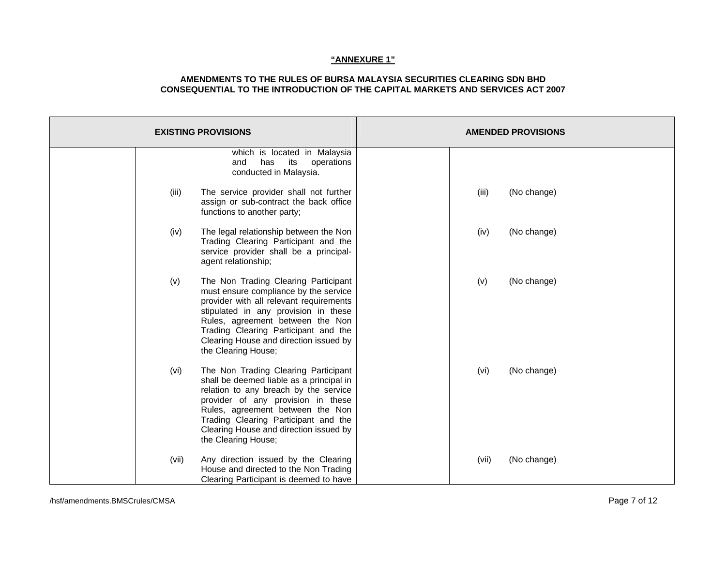| <b>EXISTING PROVISIONS</b> |                                                                                                                                                                                                                                                                                                               |       | <b>AMENDED PROVISIONS</b> |
|----------------------------|---------------------------------------------------------------------------------------------------------------------------------------------------------------------------------------------------------------------------------------------------------------------------------------------------------------|-------|---------------------------|
|                            | which is located in Malaysia<br>has<br>its<br>operations<br>and<br>conducted in Malaysia.                                                                                                                                                                                                                     |       |                           |
| (iii)                      | The service provider shall not further<br>assign or sub-contract the back office<br>functions to another party;                                                                                                                                                                                               | (iii) | (No change)               |
| (iv)                       | The legal relationship between the Non<br>Trading Clearing Participant and the<br>service provider shall be a principal-<br>agent relationship;                                                                                                                                                               | (iv)  | (No change)               |
| (v)                        | The Non Trading Clearing Participant<br>must ensure compliance by the service<br>provider with all relevant requirements<br>stipulated in any provision in these<br>Rules, agreement between the Non<br>Trading Clearing Participant and the<br>Clearing House and direction issued by<br>the Clearing House; | (v)   | (No change)               |
| (vi)                       | The Non Trading Clearing Participant<br>shall be deemed liable as a principal in<br>relation to any breach by the service<br>provider of any provision in these<br>Rules, agreement between the Non<br>Trading Clearing Participant and the<br>Clearing House and direction issued by<br>the Clearing House;  | (vi)  | (No change)               |
| (vii)                      | Any direction issued by the Clearing<br>House and directed to the Non Trading<br>Clearing Participant is deemed to have                                                                                                                                                                                       | (vii) | (No change)               |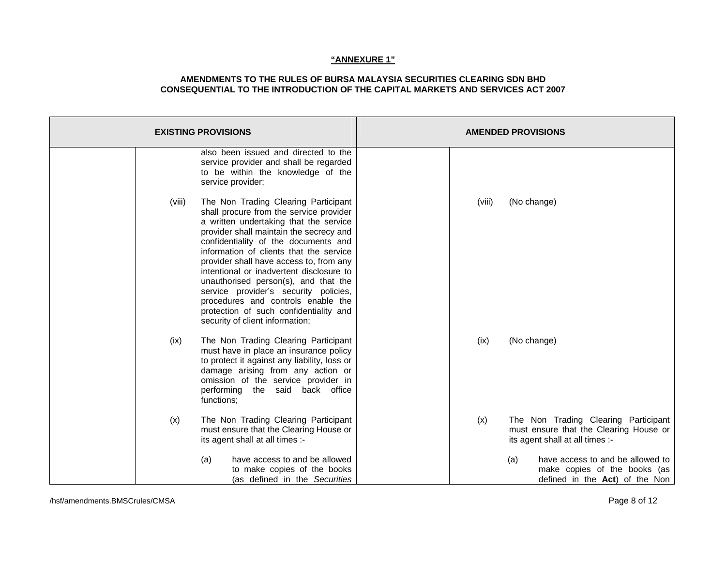| <b>EXISTING PROVISIONS</b>                                                                                                                                                                                                                                                                                                                                                                                                                                                                                                                                   |        | <b>AMENDED PROVISIONS</b>                                                                                         |
|--------------------------------------------------------------------------------------------------------------------------------------------------------------------------------------------------------------------------------------------------------------------------------------------------------------------------------------------------------------------------------------------------------------------------------------------------------------------------------------------------------------------------------------------------------------|--------|-------------------------------------------------------------------------------------------------------------------|
| also been issued and directed to the<br>service provider and shall be regarded<br>to be within the knowledge of the<br>service provider;                                                                                                                                                                                                                                                                                                                                                                                                                     |        |                                                                                                                   |
| The Non Trading Clearing Participant<br>(viii)<br>shall procure from the service provider<br>a written undertaking that the service<br>provider shall maintain the secrecy and<br>confidentiality of the documents and<br>information of clients that the service<br>provider shall have access to, from any<br>intentional or inadvertent disclosure to<br>unauthorised person(s), and that the<br>service provider's security policies,<br>procedures and controls enable the<br>protection of such confidentiality and<br>security of client information; | (viii) | (No change)                                                                                                       |
| The Non Trading Clearing Participant<br>(ix)<br>must have in place an insurance policy<br>to protect it against any liability, loss or<br>damage arising from any action or<br>omission of the service provider in<br>performing the said back office<br>functions;                                                                                                                                                                                                                                                                                          | (ix)   | (No change)                                                                                                       |
| (x)<br>The Non Trading Clearing Participant<br>must ensure that the Clearing House or<br>its agent shall at all times :-                                                                                                                                                                                                                                                                                                                                                                                                                                     | (x)    | The Non Trading Clearing Participant<br>must ensure that the Clearing House or<br>its agent shall at all times :- |
| have access to and be allowed<br>(a)<br>to make copies of the books<br>(as defined in the Securities                                                                                                                                                                                                                                                                                                                                                                                                                                                         |        | have access to and be allowed to<br>(a)<br>make copies of the books (as<br>defined in the Act) of the Non         |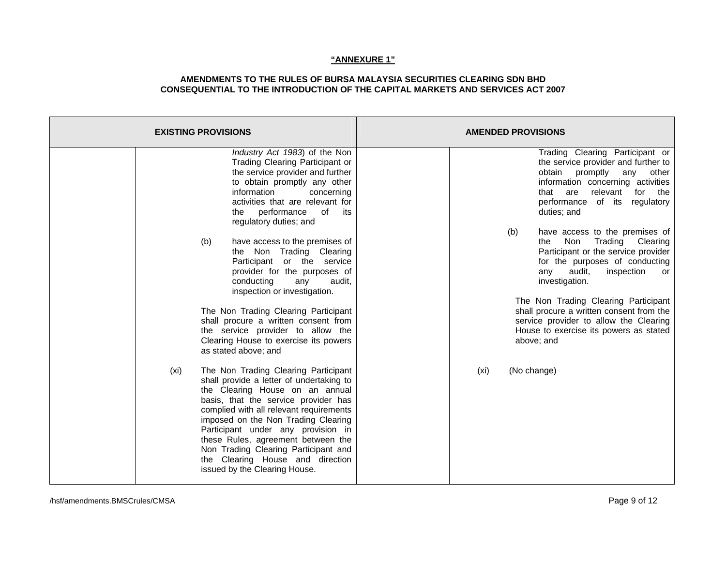| <b>EXISTING PROVISIONS</b>                                                                                                                                                                                                                                                                                                                                                                                                                     | <b>AMENDED PROVISIONS</b>                                                                                                                                                                                                                       |
|------------------------------------------------------------------------------------------------------------------------------------------------------------------------------------------------------------------------------------------------------------------------------------------------------------------------------------------------------------------------------------------------------------------------------------------------|-------------------------------------------------------------------------------------------------------------------------------------------------------------------------------------------------------------------------------------------------|
| Industry Act 1983) of the Non<br>Trading Clearing Participant or<br>the service provider and further<br>to obtain promptly any other<br>information<br>concerning<br>activities that are relevant for<br>performance<br>of<br>its<br>the<br>regulatory duties; and                                                                                                                                                                             | Trading Clearing Participant or<br>the service provider and further to<br>obtain promptly<br>other<br>any<br>information concerning activities<br>relevant<br>for the<br>that are<br>performance of its<br>regulatory<br>duties; and            |
| have access to the premises of<br>(b)<br>the Non Trading Clearing<br>Participant or the service<br>provider for the purposes of<br>conducting<br>any<br>audit,<br>inspection or investigation.                                                                                                                                                                                                                                                 | have access to the premises of<br>(b)<br>Trading Clearing<br>Non<br>the<br>Participant or the service provider<br>for the purposes of conducting<br>audit,<br>inspection<br>any<br>or<br>investigation.<br>The Non Trading Clearing Participant |
| The Non Trading Clearing Participant<br>shall procure a written consent from<br>the service provider to allow the<br>Clearing House to exercise its powers<br>as stated above; and                                                                                                                                                                                                                                                             | shall procure a written consent from the<br>service provider to allow the Clearing<br>House to exercise its powers as stated<br>above; and                                                                                                      |
| The Non Trading Clearing Participant<br>(xi)<br>shall provide a letter of undertaking to<br>the Clearing House on an annual<br>basis, that the service provider has<br>complied with all relevant requirements<br>imposed on the Non Trading Clearing<br>Participant under any provision in<br>these Rules, agreement between the<br>Non Trading Clearing Participant and<br>the Clearing House and direction<br>issued by the Clearing House. | (No change)<br>(xi)                                                                                                                                                                                                                             |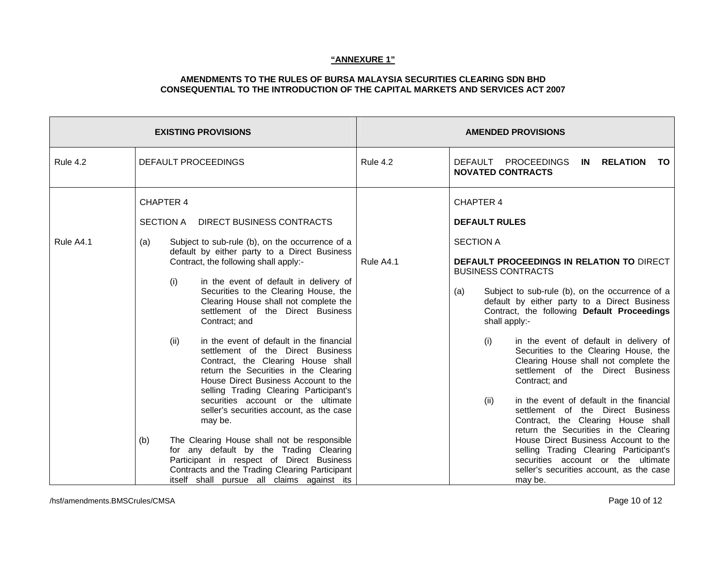|                 | <b>EXISTING PROVISIONS</b>                                                                                                                                                                                                                                                                                                                                                                                                                                                                                                                                                                                                                                                                                                                                                                                                                                                                                                                                                                                  | <b>AMENDED PROVISIONS</b> |                                                                                                                                                                                                                                                                                                                                                                                                                                                                                                                                                                                                                                                                                                                                                                                                                                                                  |  |
|-----------------|-------------------------------------------------------------------------------------------------------------------------------------------------------------------------------------------------------------------------------------------------------------------------------------------------------------------------------------------------------------------------------------------------------------------------------------------------------------------------------------------------------------------------------------------------------------------------------------------------------------------------------------------------------------------------------------------------------------------------------------------------------------------------------------------------------------------------------------------------------------------------------------------------------------------------------------------------------------------------------------------------------------|---------------------------|------------------------------------------------------------------------------------------------------------------------------------------------------------------------------------------------------------------------------------------------------------------------------------------------------------------------------------------------------------------------------------------------------------------------------------------------------------------------------------------------------------------------------------------------------------------------------------------------------------------------------------------------------------------------------------------------------------------------------------------------------------------------------------------------------------------------------------------------------------------|--|
| <b>Rule 4.2</b> | <b>DEFAULT PROCEEDINGS</b>                                                                                                                                                                                                                                                                                                                                                                                                                                                                                                                                                                                                                                                                                                                                                                                                                                                                                                                                                                                  | <b>Rule 4.2</b>           | DEFAULT PROCEEDINGS<br>IN RELATION<br>TO<br><b>NOVATED CONTRACTS</b>                                                                                                                                                                                                                                                                                                                                                                                                                                                                                                                                                                                                                                                                                                                                                                                             |  |
| Rule A4.1       | <b>CHAPTER 4</b><br>SECTION A<br>DIRECT BUSINESS CONTRACTS<br>Subject to sub-rule (b), on the occurrence of a<br>(a)<br>default by either party to a Direct Business<br>Contract, the following shall apply:-<br>in the event of default in delivery of<br>(i)<br>Securities to the Clearing House, the<br>Clearing House shall not complete the<br>settlement of the Direct Business<br>Contract; and<br>in the event of default in the financial<br>(ii)<br>settlement of the Direct Business<br>Contract, the Clearing House shall<br>return the Securities in the Clearing<br>House Direct Business Account to the<br>selling Trading Clearing Participant's<br>securities account or the ultimate<br>seller's securities account, as the case<br>may be.<br>The Clearing House shall not be responsible<br>(b)<br>for any default by the Trading Clearing<br>Participant in respect of Direct Business<br>Contracts and the Trading Clearing Participant<br>itself shall pursue all claims against its | Rule A4.1                 | <b>CHAPTER 4</b><br><b>DEFAULT RULES</b><br><b>SECTION A</b><br>DEFAULT PROCEEDINGS IN RELATION TO DIRECT<br><b>BUSINESS CONTRACTS</b><br>Subject to sub-rule (b), on the occurrence of a<br>(a)<br>default by either party to a Direct Business<br>Contract, the following Default Proceedings<br>shall apply:-<br>in the event of default in delivery of<br>(i)<br>Securities to the Clearing House, the<br>Clearing House shall not complete the<br>settlement of the Direct Business<br>Contract; and<br>(ii)<br>in the event of default in the financial<br>settlement of the Direct Business<br>Contract, the Clearing House shall<br>return the Securities in the Clearing<br>House Direct Business Account to the<br>selling Trading Clearing Participant's<br>securities account or the ultimate<br>seller's securities account, as the case<br>may be. |  |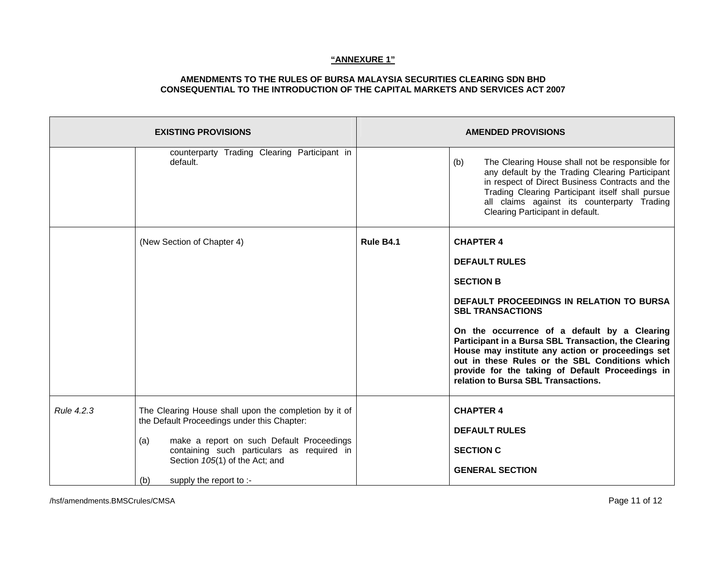|            | <b>EXISTING PROVISIONS</b>                                                                                                                                                                                                                                                 |           | <b>AMENDED PROVISIONS</b>                                                                                                                                                                                                                                                                                                                                                                                                                     |
|------------|----------------------------------------------------------------------------------------------------------------------------------------------------------------------------------------------------------------------------------------------------------------------------|-----------|-----------------------------------------------------------------------------------------------------------------------------------------------------------------------------------------------------------------------------------------------------------------------------------------------------------------------------------------------------------------------------------------------------------------------------------------------|
|            | counterparty Trading Clearing Participant in<br>default.                                                                                                                                                                                                                   |           | (b)<br>The Clearing House shall not be responsible for<br>any default by the Trading Clearing Participant<br>in respect of Direct Business Contracts and the<br>Trading Clearing Participant itself shall pursue<br>all claims against its counterparty Trading<br>Clearing Participant in default.                                                                                                                                           |
|            | (New Section of Chapter 4)                                                                                                                                                                                                                                                 | Rule B4.1 | <b>CHAPTER 4</b><br><b>DEFAULT RULES</b><br><b>SECTION B</b><br>DEFAULT PROCEEDINGS IN RELATION TO BURSA<br><b>SBL TRANSACTIONS</b><br>On the occurrence of a default by a Clearing<br>Participant in a Bursa SBL Transaction, the Clearing<br>House may institute any action or proceedings set<br>out in these Rules or the SBL Conditions which<br>provide for the taking of Default Proceedings in<br>relation to Bursa SBL Transactions. |
| Rule 4.2.3 | The Clearing House shall upon the completion by it of<br>the Default Proceedings under this Chapter:<br>make a report on such Default Proceedings<br>(a)<br>containing such particulars as required in<br>Section 105(1) of the Act; and<br>supply the report to :-<br>(b) |           | <b>CHAPTER 4</b><br><b>DEFAULT RULES</b><br><b>SECTION C</b><br><b>GENERAL SECTION</b>                                                                                                                                                                                                                                                                                                                                                        |